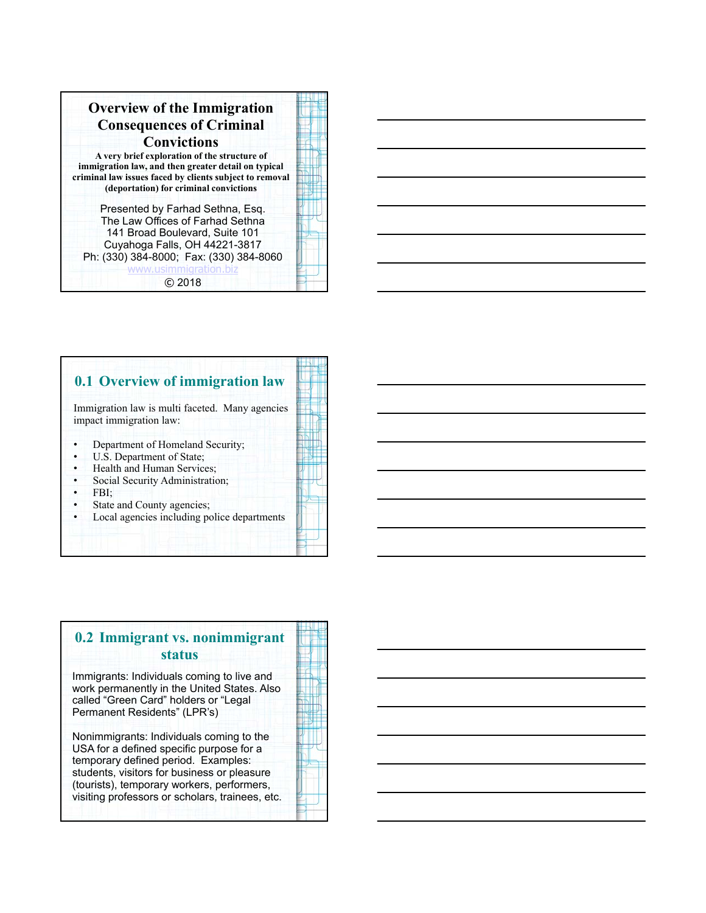| <b>Overview of the Immigration</b><br><b>Consequences of Criminal</b><br><b>Convictions</b><br>A very brief exploration of the structure of<br>immigration law, and then greater detail on typical<br>criminal law issues faced by clients subject to removal<br>(deportation) for criminal convictions |  |
|---------------------------------------------------------------------------------------------------------------------------------------------------------------------------------------------------------------------------------------------------------------------------------------------------------|--|
| Presented by Farhad Sethna, Esq.<br>The Law Offices of Farhad Sethna<br>141 Broad Boulevard, Suite 101<br>Cuyahoga Falls, OH 44221-3817<br>Ph: (330) 384-8000; Fax: (330) 384-8060<br>www.usimmigration.biz<br>C 2018                                                                                   |  |

### **0.1 Overview of immigration law**

Immigration law is multi faceted. Many agencies impact immigration law:

- Department of Homeland Security;
- U.S. Department of State;
- Health and Human Services;
- Social Security Administration;
- FBI;
- State and County agencies;
- Local agencies including police departments

## **0.2 Immigrant vs. nonimmigrant status**

Immigrants: Individuals coming to live and work permanently in the United States. Also called "Green Card" holders or "Legal Permanent Residents" (LPR's)

Nonimmigrants: Individuals coming to the USA for a defined specific purpose for a temporary defined period. Examples: students, visitors for business or pleasure (tourists), temporary workers, performers, visiting professors or scholars, trainees, etc.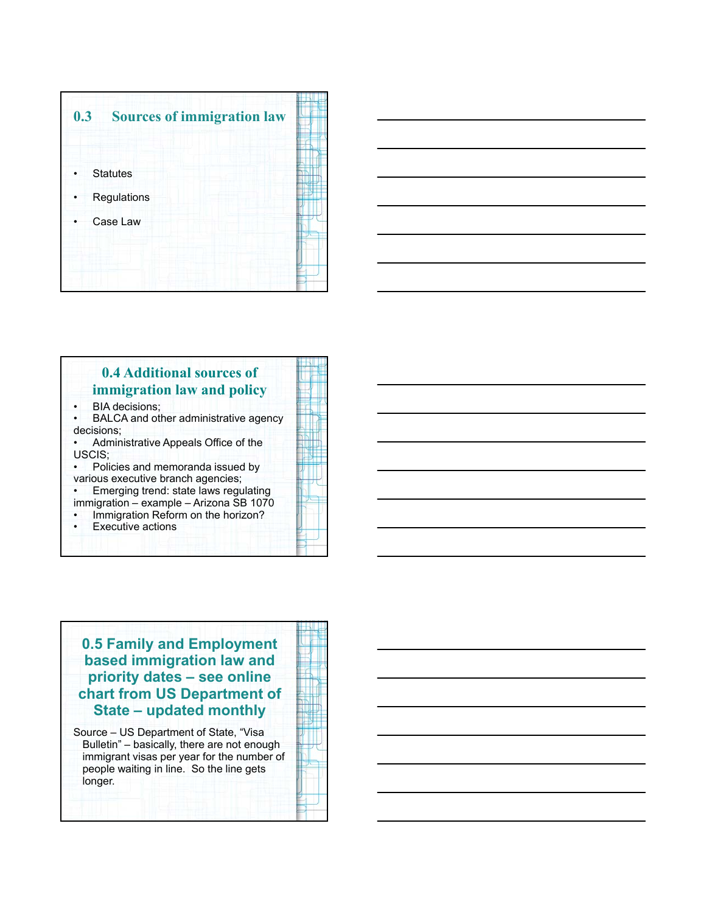



## **0.4 Additional sources of immigration law and policy**

- BIA decisions;
- BALCA and other administrative agency decisions;
- Administrative Appeals Office of the USCIS;
- Policies and memoranda issued by
- various executive branch agencies;
- Emerging trend: state laws regulating immigration – example – Arizona SB 1070
- Immigration Reform on the horizon?
- **Executive actions**
- 

# **0.5 Family and Employment based immigration law and priority dates – see online chart from US Department of State – updated monthly**

Source – US Department of State, "Visa Bulletin" – basically, there are not enough immigrant visas per year for the number of people waiting in line. So the line gets longer.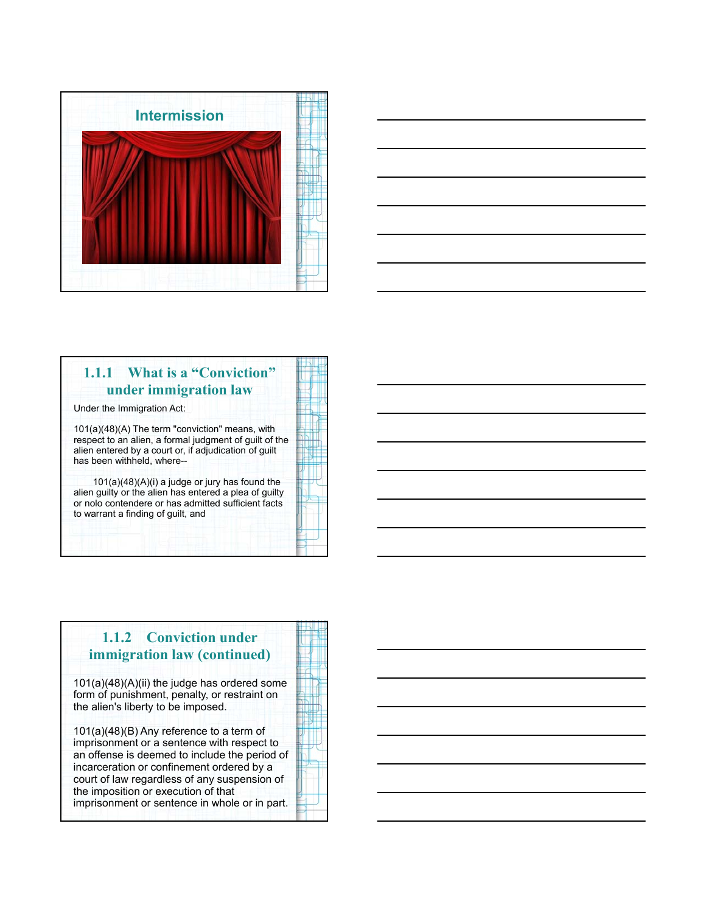



## **1.1.1 What is a "Conviction" under immigration law**

Under the Immigration Act:

101(a)(48)(A) The term "conviction" means, with respect to an alien, a formal judgment of guilt of the alien entered by a court or, if adjudication of guilt has been withheld, where--

101(a)(48)(A)(i) a judge or jury has found the alien guilty or the alien has entered a plea of guilty or nolo contendere or has admitted sufficient facts to warrant a finding of guilt, and

# **1.1.2 Conviction under immigration law (continued)**

101(a)(48)(A)(ii) the judge has ordered some form of punishment, penalty, or restraint on the alien's liberty to be imposed.

101(a)(48)(B) Any reference to a term of imprisonment or a sentence with respect to an offense is deemed to include the period of incarceration or confinement ordered by a court of law regardless of any suspension of the imposition or execution of that imprisonment or sentence in whole or in part.

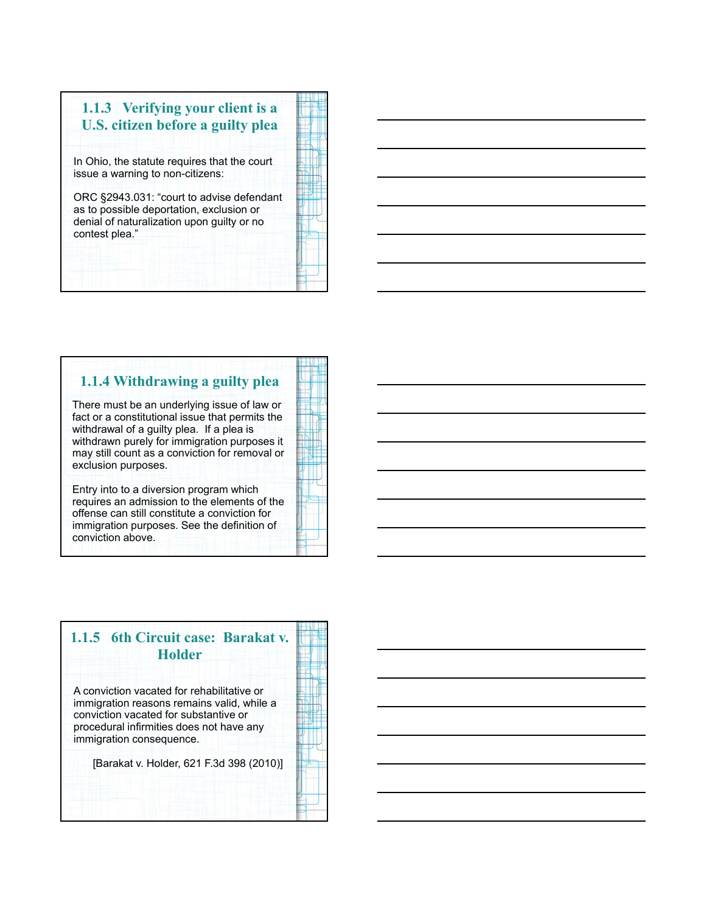

## **1.1.4 Withdrawing a guilty plea**

There must be an underlying issue of law or fact or a constitutional issue that permits the withdrawal of a guilty plea. If a plea is withdrawn purely for immigration purposes it may still count as a conviction for removal or exclusion purposes.

Entry into to a diversion program which requires an admission to the elements of the offense can still constitute a conviction for immigration purposes. See the definition of conviction above.

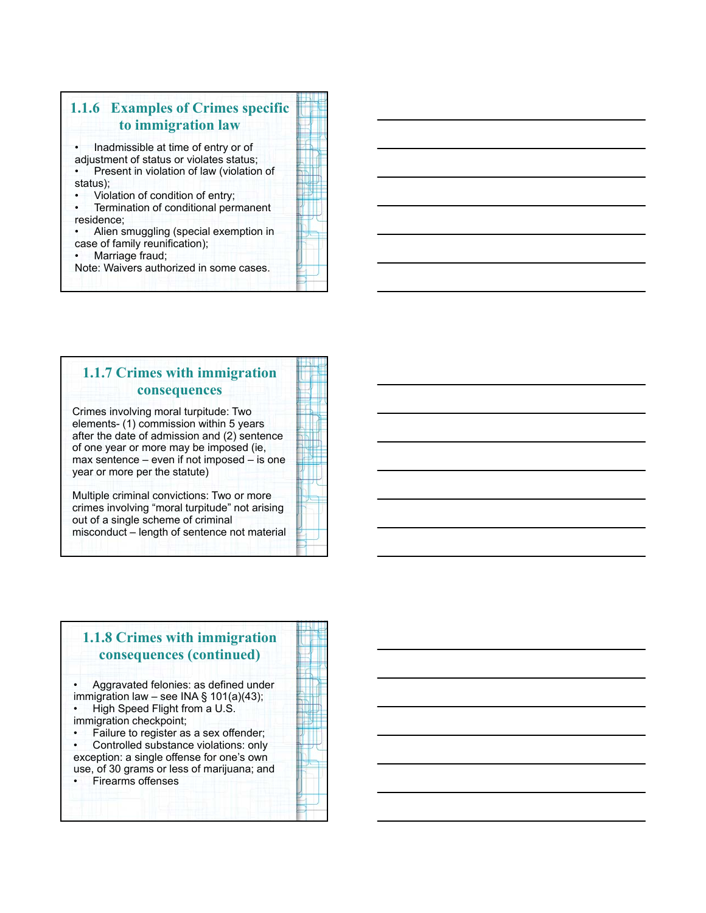

### **1.1.7 Crimes with immigration consequences**

Crimes involving moral turpitude: Two elements- (1) commission within 5 years after the date of admission and (2) sentence of one year or more may be imposed (ie, max sentence – even if not imposed – is one year or more per the statute)

7/30/2012 12:00:00 12:00:00 12:00:00 12:00:00 12:00:00 12:00:00 12:00:00 12:00:00 12:00:00 12:00:00 12:00:00 1<br>1/30/2013 12:00:00 12:00:00 12:00:00 12:00:00 12:00:00 12:00:00 12:00:00 12:00:00 12:00:00 12:00:00 12:00:00 1<br>

Multiple criminal convictions: Two or more crimes involving "moral turpitude" not arising out of a single scheme of criminal misconduct – length of sentence not material

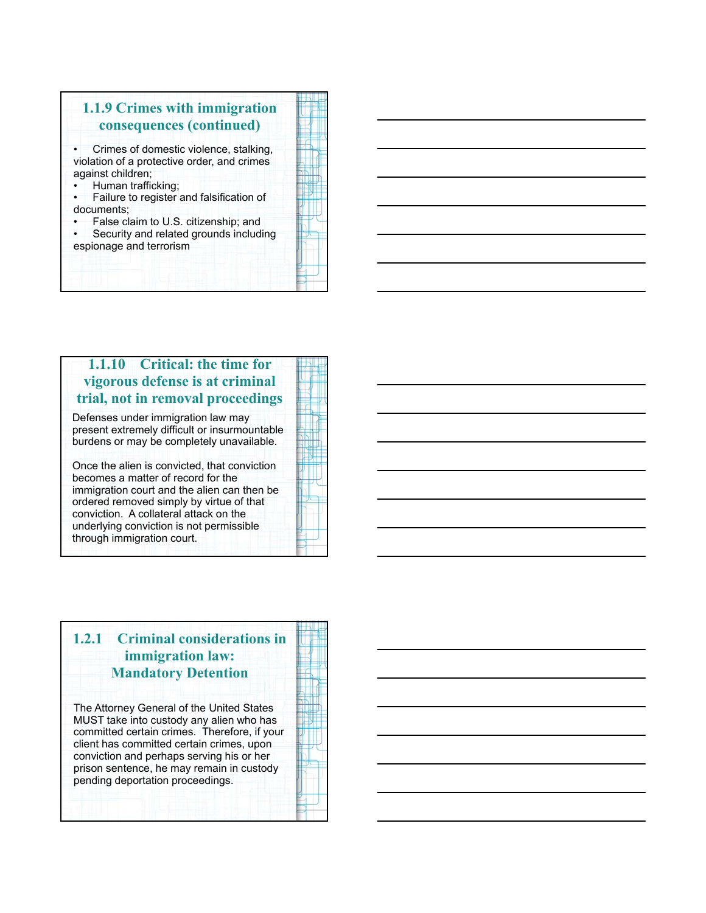

## **1.1.10 Critical: the time for vigorous defense is at criminal trial, not in removal proceedings**

Defenses under immigration law may present extremely difficult or insurmountable burdens or may be completely unavailable.

Once the alien is convicted, that conviction becomes a matter of record for the immigration court and the alien can then be ordered removed simply by virtue of that conviction. A collateral attack on the underlying conviction is not permissible through immigration court.

# **1.2.1 Criminal considerations in immigration law: Mandatory Detention**

The Attorney General of the United States MUST take into custody any alien who has committed certain crimes. Therefore, if your client has committed certain crimes, upon conviction and perhaps serving his or her prison sentence, he may remain in custody pending deportation proceedings.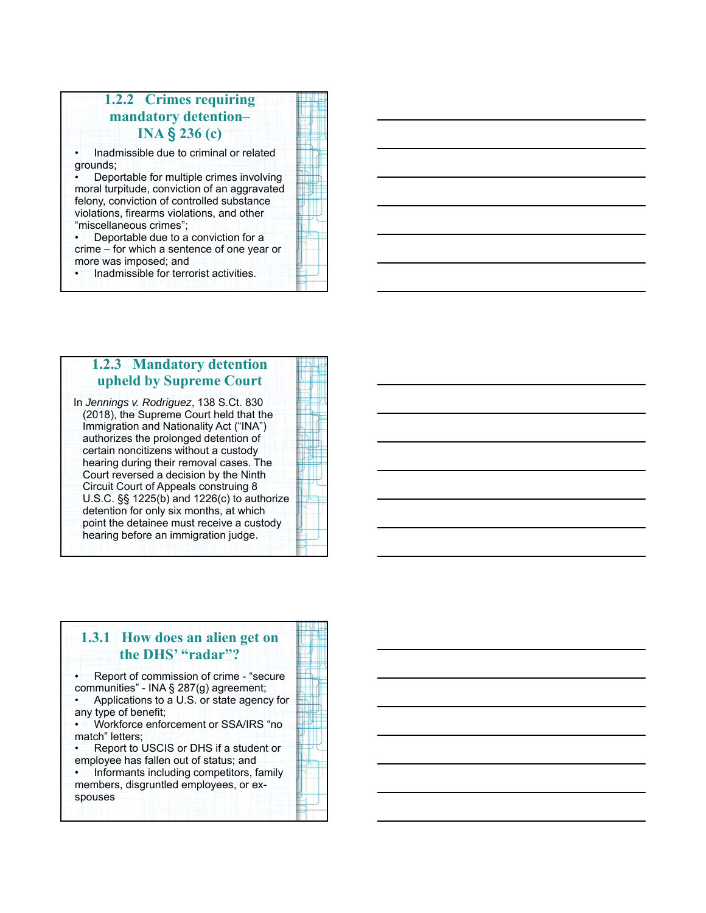## **1.2.2 Crimes requirin g mandatory detention– INA**  § **236 (c)**

• Inadmissible due to criminal or related grounds;

• Deportable for multiple crimes involving moral turpitude, conviction of an aggravated felony, conviction of controlled substance violations, firearms violations, and other "miscellaneous crimes";

• Deportable due to a conviction for a crime – for which a sentence of one year or more was imposed; and

• Inadmissible for terrorist activities.

### **1.2.3 Mandator y detention upheld by Supreme Court**

In *Jennings v. Rodriguez*, 138 S.Ct. 830 (2018), the Supreme Court held that the Immigration and Nationality Act ("INA") authorizes the prolonged detention of certain noncitizens without a custody hearing during their removal cases. The Court reversed a decision by the Ninth Circuit Court of Appeals construing 8 U.S.C. §§ 1225(b) and 1226(c) to authorize detention for only six months, at which point the detainee must receive a custody hearing before an immigration judge.

7/30/2012 12:00:00 12:00:00 12:00:00 12:00:00 12:00:00 12:00:00 12:00:00 12:00:00 12:00:00 12:00:00 12:00:00 1<br>1/30/2013 12:00:00 12:00:00 12:00:00 12:00:00 12:00:00 12:00:00 12:00:00 12:00:00 12:00:00 12:00:00 12:00:00 1<br>

### **1.3.1 How does an alien get on the DHS' "radar"?** • Report of commission of crime - "secure communities" - INA § 287(g) agreement; • Applications to a U.S. or state agency for any type of benefit; • Workforce enforcement or SSA/IRS "no match" letters; • Report to USCIS or DHS if a student or employee has fallen out of status; and • Informants including competitors, family members, disgruntled employees, or exspouses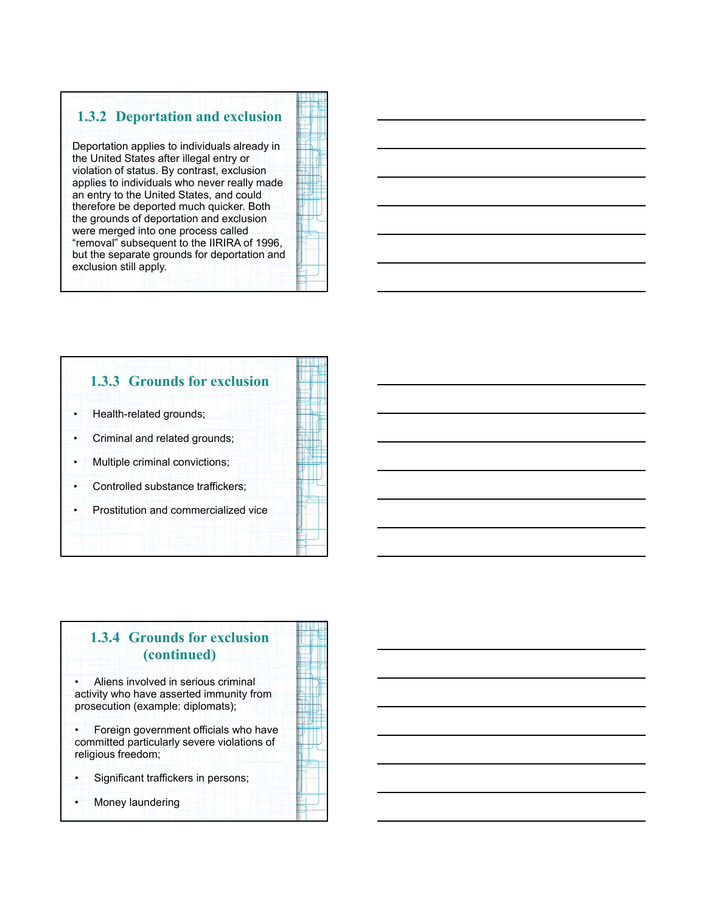## **1.3.2 Deportation and exclusion**

Deportation applies to individuals already in the United States after illegal entry or violation of status. By contrast, exclusion applies to individuals who never really made an entry to the United States, and could therefore be deported much quicker. Both the grounds of deportation and exclusion were merged into one process called "removal" subsequent to the IIRIRA of 1996, but the separate grounds for deportation and exclusion still apply.



# **1.3.3 Grounds for exclusion** • Health-related grounds; • Criminal and related grounds; • Multiple criminal convictions; Controlled substance traffickers; • Prostitution and commercialized vice

# **1.3.4 Grounds for exclusion (continued)**

• Aliens involved in serious criminal activity who have asserted immunity from prosecution (example: diplomats);

• Foreign government officials who have committed particularly severe violations of religious freedom;

• Significant traffickers in persons;

Money laundering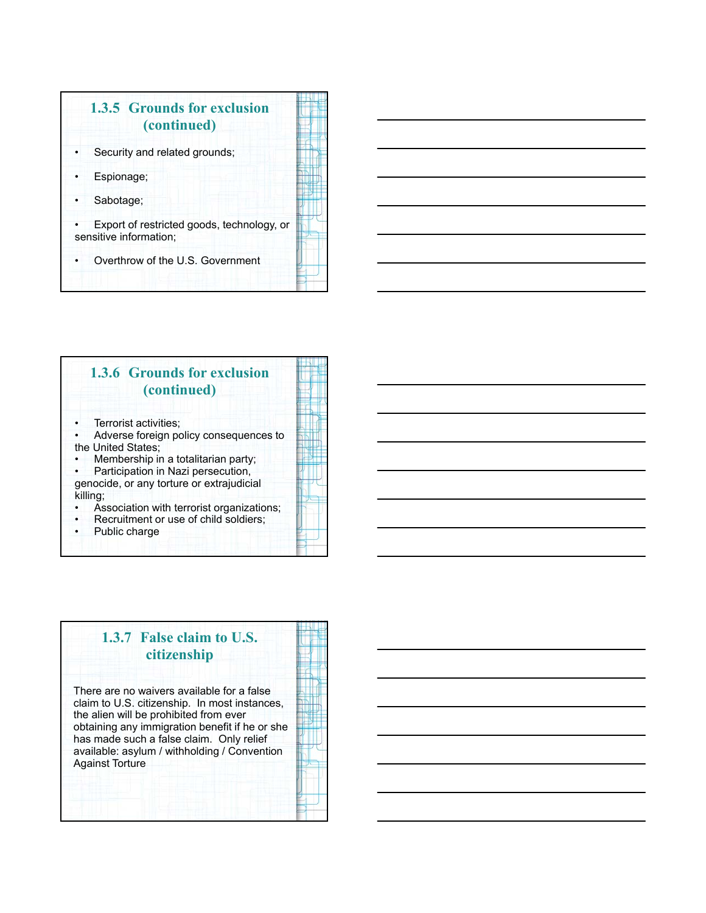





# **1.3.7 False claim to U.S. citizenship**

There are no waivers available for a false claim to U.S. citizenship. In most instances, the alien will be prohibited from ever obtaining any immigration benefit if he or she has made such a false claim. Only relief available: asylum / withholding / Convention Against Torture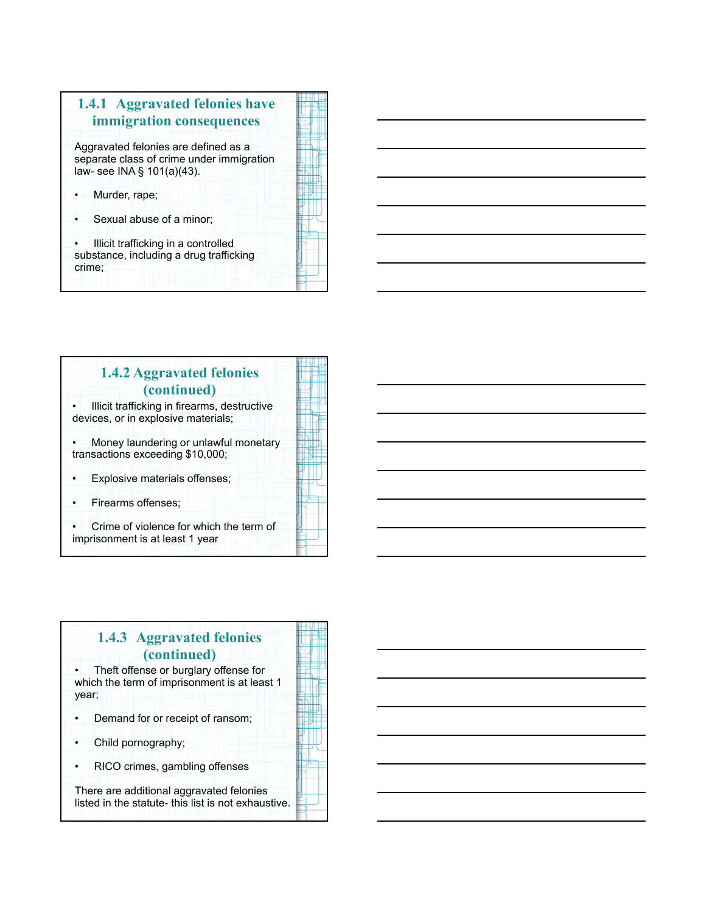

# **1.4.2 Aggravated felonies (continued)**

• Illicit trafficking in firearms, destructive devices, or in explosive materials;

• Money laundering or unlawful monetary transactions exceeding \$10,000;

Explosive materials offenses;

• Firearms offenses;

• Crime of violence for which the term of imprisonment is at least 1 year

# **1.4.3 Aggravated felonies (continued)** • Theft offense or burglary offense for which the term of imprisonment is at least 1 year; Demand for or receipt of ransom; • Child pornography; • RICO crimes, gambling offenses There are additional aggravated felonies listed in the statute- this list is not exhaustive.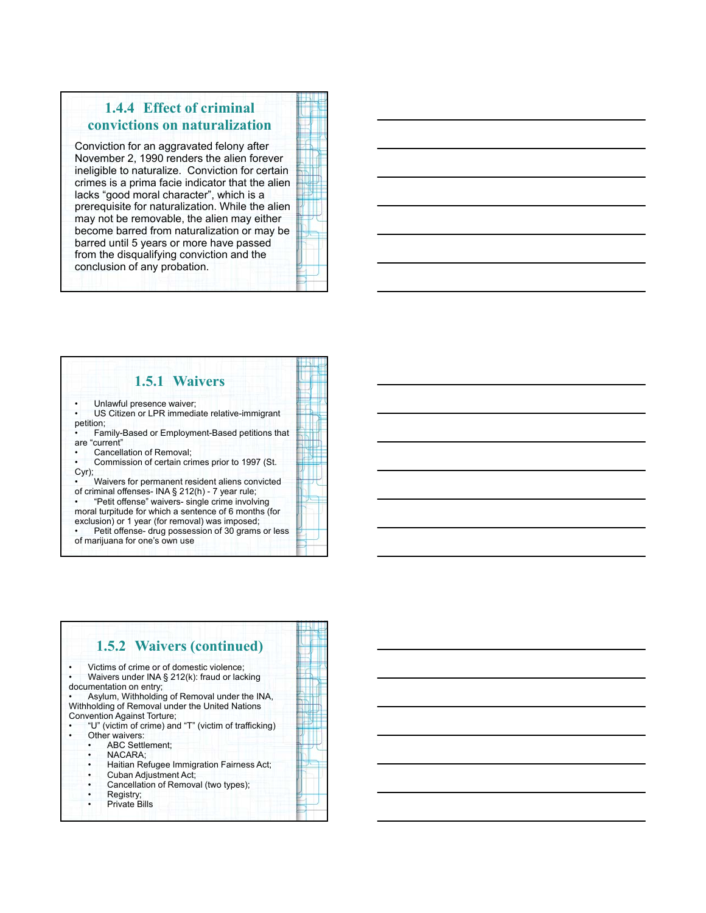## **1.4.4 Effect of criminal convictions on naturalization**

Conviction for an aggravated felony after November 2, 1990 renders the alien forever ineligible to naturalize. Conviction for certain crimes is a prima facie indicator that the alien lacks "good moral character", which is a prerequisite for naturalization. While the alien may not be removable, the alien may either become barred from naturalization or may be barred until 5 years or more have passed from the disqualifying conviction and the conclusion of any probation.

#### **1.5.1 Waivers** Unlawful presence waiver; US Citizen or LPR immediate relative-immigrant petition; • Family-Based or Employment-Based petitions that are "current" Cancellation of Removal; • Commission of certain crimes prior to 1997 (St. Cyr); • Waivers for permanent resident aliens convicted of criminal offenses- INA § 212(h) - 7 year rule; • "Petit offense" waivers- single crime involving moral turpitude for which a sentence of 6 months (for exclusion) or 1 year (for removal) was imposed;

Petit offense- drug possession of 30 grams or less of marijuana for one's own use

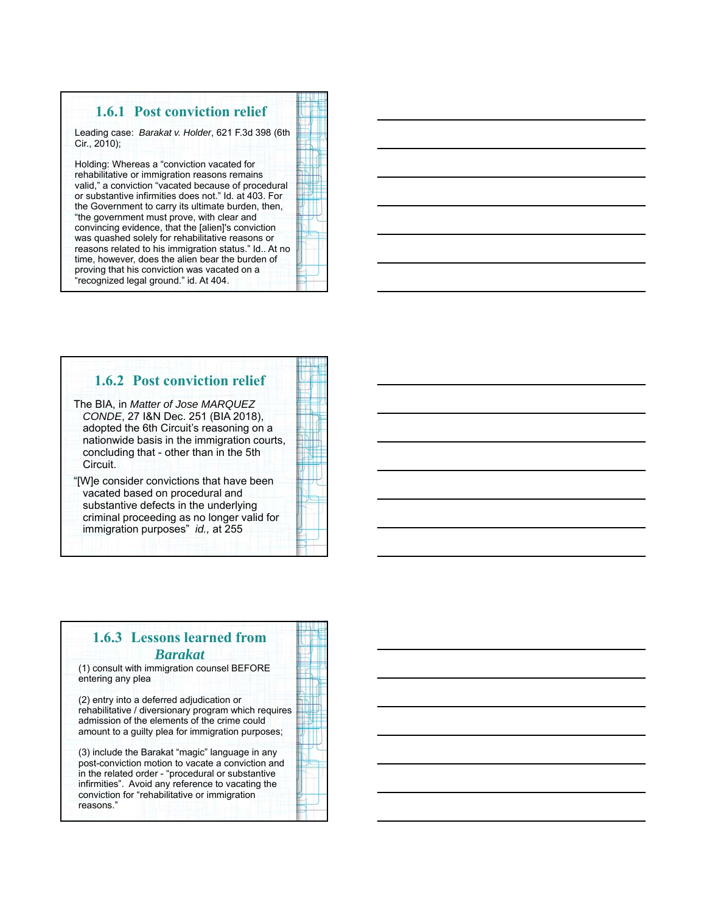## **1.6.1 Post conviction relief**

Leading case: *Barakat v. Holder*, 621 F.3d 398 (6th Cir., 2010);

Holding: Whereas a "conviction vacated for rehabilitative or immigration reasons remains valid," a conviction "vacated because of procedura or substantive infirmities does not." Id. at 403. For the Government to carry its ultimate burden, then, "the government must prove, with clear and convincing evidence, that the [alien]'s conviction was quashed solely for rehabilitative reasons or reasons related to his immigration status." Id.. At n time, however, does the alien bear the burden of proving that his conviction was vacated on a "recognized legal ground." id. At 404.

|    | I |  |
|----|---|--|
|    | ۹ |  |
|    | ī |  |
|    |   |  |
|    |   |  |
|    |   |  |
|    |   |  |
|    | ۱ |  |
|    | I |  |
| al |   |  |
|    | ı |  |
|    | ۱ |  |
|    |   |  |
|    |   |  |
|    |   |  |
| ,  |   |  |
|    |   |  |
|    |   |  |
|    |   |  |
|    |   |  |
|    |   |  |
|    |   |  |
|    |   |  |
| no |   |  |
|    |   |  |
|    |   |  |
|    |   |  |
|    |   |  |
|    |   |  |
|    |   |  |
|    |   |  |

## **1.6.2 Post conviction relief**

The BIA, in *Matter of Jose MARQUEZ CONDE*, 27 I&N Dec. 251 (BIA 2018), adopted the 6th Circuit's reasoning on a nationwide basis in the immigration courts, concluding that - other than in the 5th Circuit.

"[W]e consider convictions that have been vacated based on procedural and substantive defects in the underlying criminal proceeding as no longer valid for immigration purposes" *id.,* at 255

## **1.6.3 Lessons learned from**  *Barakat*

(1) consult with immigration counsel BEFORE entering any plea

(2) entry into a deferred adjudication or rehabilitative / diversionary program which requires admission of the elements of the crime could amount to a guilty plea for immigration purposes;

(3) include the Barakat "magic" language in any post-conviction motion to vacate a conviction and in the related order - "procedural or substantive infirmities". Avoid any reference to vacating the conviction for "rehabilitative or immigration reasons."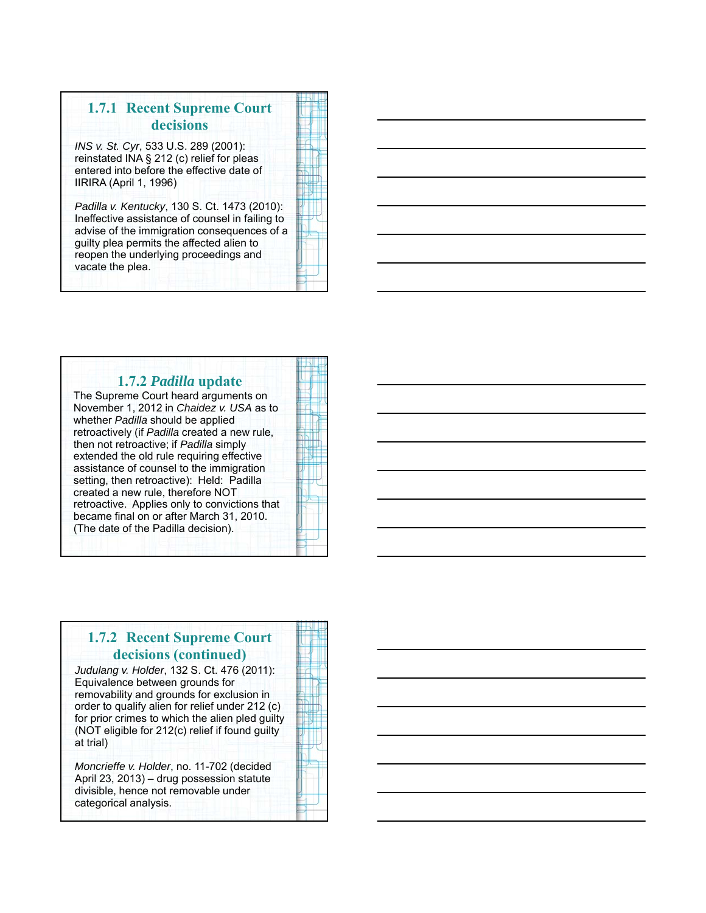# **1.7.1 Recent Supreme Court decisions**

*INS v. St. Cyr*, 533 U.S. 289 (2001): reinstated INA § 212 (c) relief for pleas entered into before the effective date of IIRIRA (April 1, 1996)

*Padilla v. Kentucky*, 130 S. Ct. 1473 (2010): Ineffective assistance of counsel in failing to advise of the immigration consequences of a guilty plea permits the affected alien to reopen the underlying proceedings and vacate the plea.



#### **1.7.2** *Padilla* **update** The Supreme Court heard arguments on November 1, 2012 in *Chaidez v. USA* as to whether *Padilla* should be applied retroactively (if *Padilla* created a new rule, then not retroactive; if *Padilla* simply extended the old rule requiring effective assistance of counsel to the immigration setting, then retroactive): Held: Padilla created a new rule, therefore NOT retroactive. Applies only to convictions that

became final on or after March 31, 2010. (The date of the Padilla decision).

## **1.7.2 Recent Supreme Court decisions (continued)**

*Judulang v. Holder*, 132 S. Ct. 476 (2011): Equivalence between grounds for removability and grounds for exclusion in order to qualify alien for relief under 212 (c) for prior crimes to which the alien pled guilty (NOT eligible for 212(c) relief if found guilty at trial)

*Moncrieffe v. Holder*, no. 11-702 (decided April 23, 2013) – drug possession statute divisible, hence not removable under categorical analysis.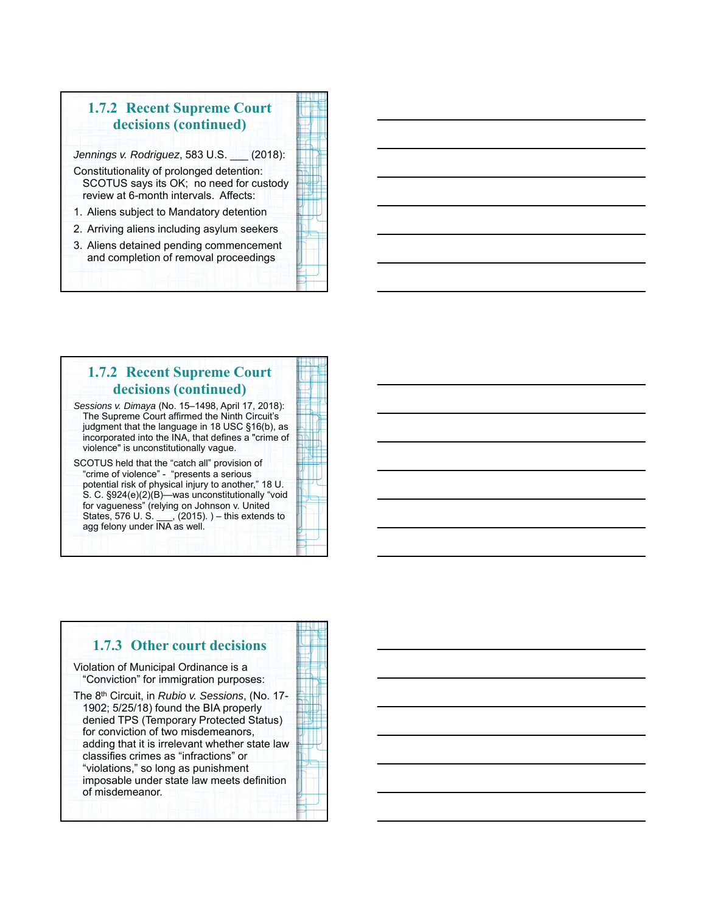# **1.7.2 Recent Supreme Court decisions (continued)**

*Jennings v. Rodriguez*, 583 U.S. \_\_\_ (2018):

- Constitutionality of prolonged detention: SCOTUS says its OK; no need for custody review at 6-month intervals. Affects:
- 1. Aliens subject to Mandatory detention
- 2. Arriving aliens including asylum seekers
- 3. Aliens detained pending commencement and completion of removal proceedings

### **1.7.2 Recent Supreme Court decisions (continued)** *Sessions v. Dimaya* (No. 15–1498, April 17, 2018): The Supreme Court affirmed the Ninth Circuit's

judgment that the language in 18 USC §16(b), as incorporated into the INA, that defines a "crime of violence" is unconstitutionally vague.

SCOTUS held that the "catch all" provision of "crime of violence" - "presents a serious potential risk of physical injury to another," 18 U. S. C. §924(e)(2)(B)—was unconstitutionally "void for vagueness" (relying on Johnson v. United States, 576 U. S. \_\_\_, (2015). ) – this extends to agg felony under INA as well.

#### **1.7.3 Other court decisions** Violation of Municipal Ordinance is a "Conviction" for immigration purposes: The 8th Circuit, in *Rubio v. Sessions*, (No. 17- 1902; 5/25/18) found the BIA properly denied TPS (Temporary Protected Status) for conviction of two misdemeanors, adding that it is irrelevant whether state law classifies crimes as "infractions" or "violations," so long as punishment imposable under state law meets definition of misdemeanor.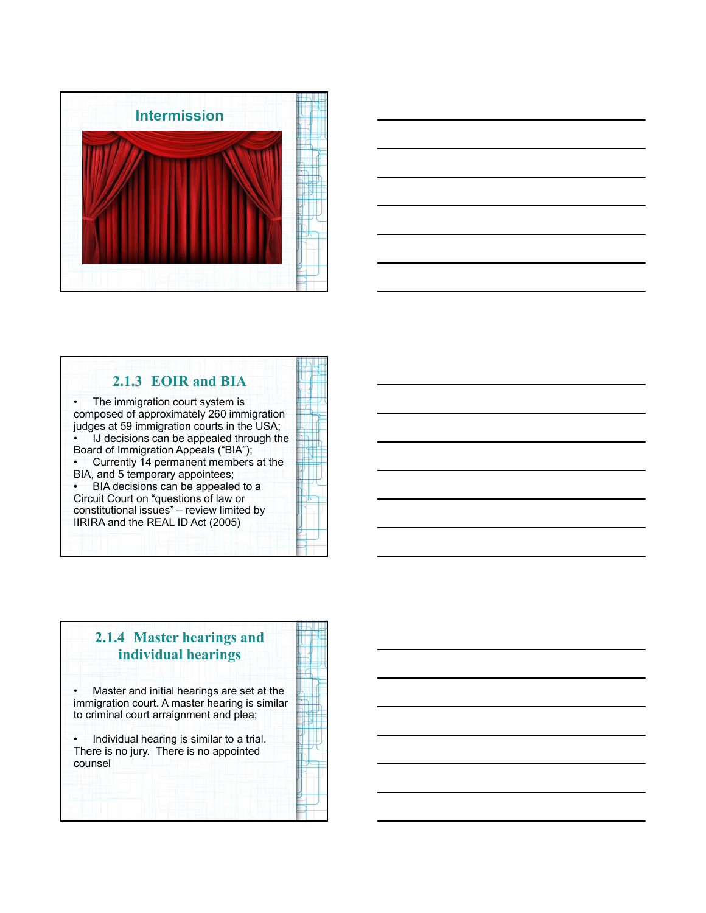



## **2.1.3 EOIR and BIA** The immigration court system is composed of approximately 260 immigration judges at 59 immigration courts in the USA; IJ decisions can be appealed through the Board of Immigration Appeals ("BIA"); • Currently 14 permanent members at the BIA, and 5 temporary appointees; • BIA decisions can be appealed to a Circuit Court on "questions of law or constitutional issues" – review limited by IIRIRA and the REAL ID Act (2005)

# **2.1.4 Master hearings and individual hearings** • Master and initial hearings are set at the immigration court. A master hearing is similar to criminal court arraignment and plea; • Individual hearing is similar to a trial. There is no jury. There is no appointed counsel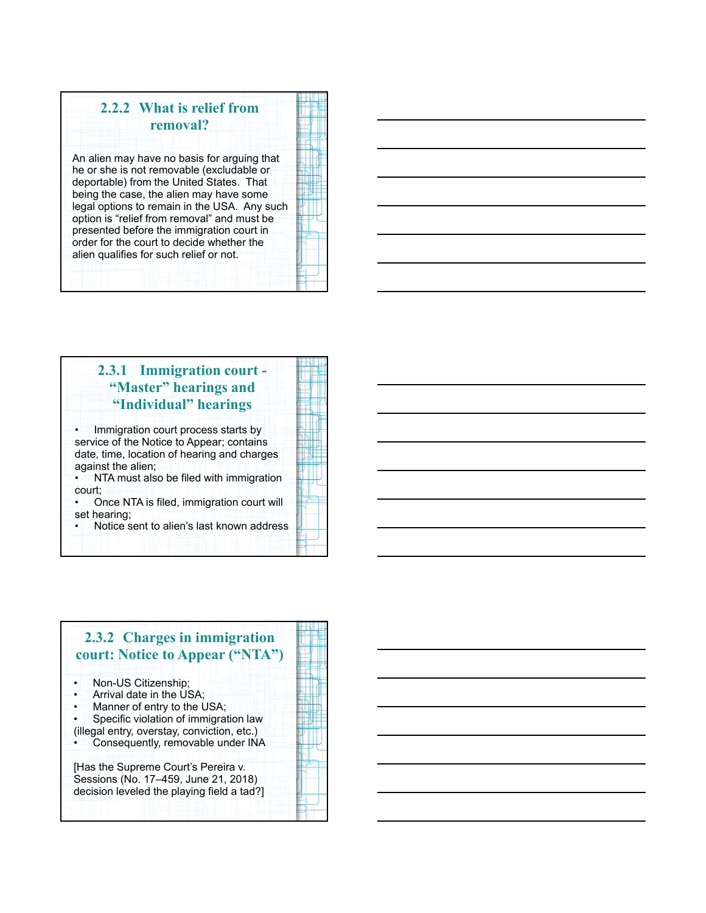# **2.2.2 What is relief from removal?**

An alien may have no basis for arguing that he or she is not removable (excludable or deportable) from the United States. That being the case, the alien may have some legal options to remain in the USA. Any such option is "relief from removal" and must be presented before the immigration court in order for the court to decide whether the alien qualifies for such relief or not.

## **2.3.1 Immigration court - "Master" hearings and "Individual" hearings**

Immigration court process starts by service of the Notice to Appear; contains date, time, location of hearing and charges against the alien;

• NTA must also be filed with immigration court;

• Once NTA is filed, immigration court will set hearing;

• Notice sent to alien's last known address

## **2.3.2 Charges in immigration court: Notice to Appear ("NTA")** • Non-US Citizenship; • Arrival date in the USA; Manner of entry to the USA; • Specific violation of immigration law (illegal entry, overstay, conviction, etc.) Consequently, removable under INA [Has the Supreme Court's Pereira v. Sessions (No. 17–459, June 21, 2018) decision leveled the playing field a tad?]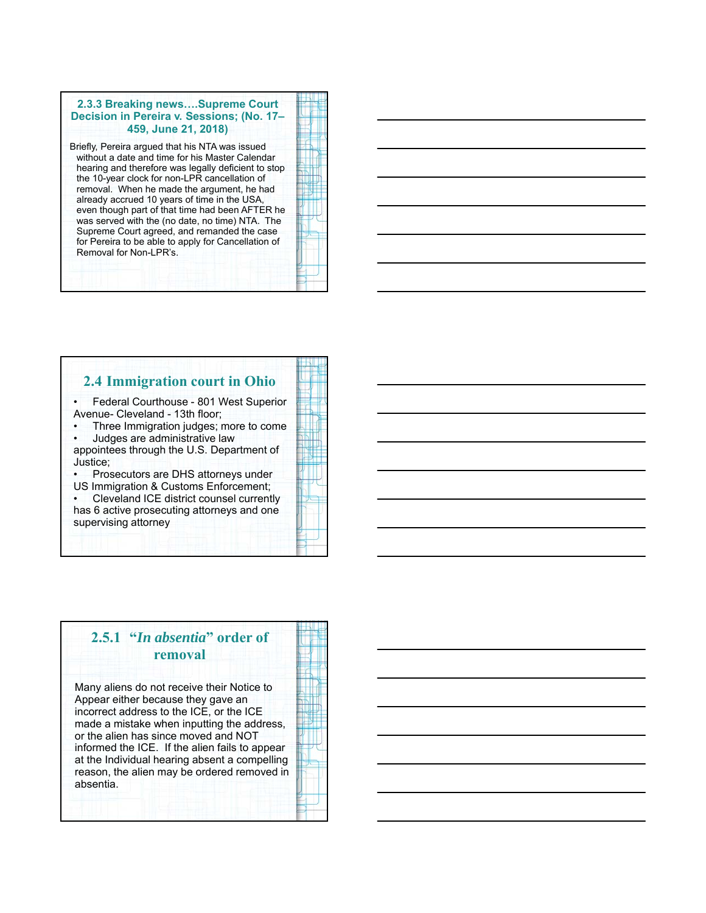#### **2.3.3 Breaking news….Supreme Court Decision in Pereira v. Sessions; (No. 17– 459, June 21, 2018)**

Briefly, Pereira argued that his NTA was issued without a date and time for his Master Calendar hearing and therefore was legally deficient to stop the 10-year clock for non-LPR cancellation of removal. When he made the argument, he had already accrued 10 years of time in the USA, even though part of that time had been AFTER he was served with the (no date, no time) NTA. The Supreme Court agreed, and remanded the case for Pereira to be able to apply for Cancellation of Removal for Non-LPR's.

### **2.4 Immigration court in Ohio**

• Federal Courthouse - 801 West Superior Avenue- Cleveland - 13th floor;

• Three Immigration judges; more to come • Judges are administrative law appointees through the U.S. Department of

Justice;

• Prosecutors are DHS attorneys under US Immigration & Customs Enforcement;

• Cleveland ICE district counsel currently has 6 active prosecuting attorneys and one supervising attorney

## **2.5.1 "***In absentia***" order of removal**

Many aliens do not receive their Notice to Appear either because they gave an incorrect address to the ICE, or the ICE made a mistake when inputting the address, or the alien has since moved and NOT informed the ICE. If the alien fails to appear at the Individual hearing absent a compelling reason, the alien may be ordered removed in absentia.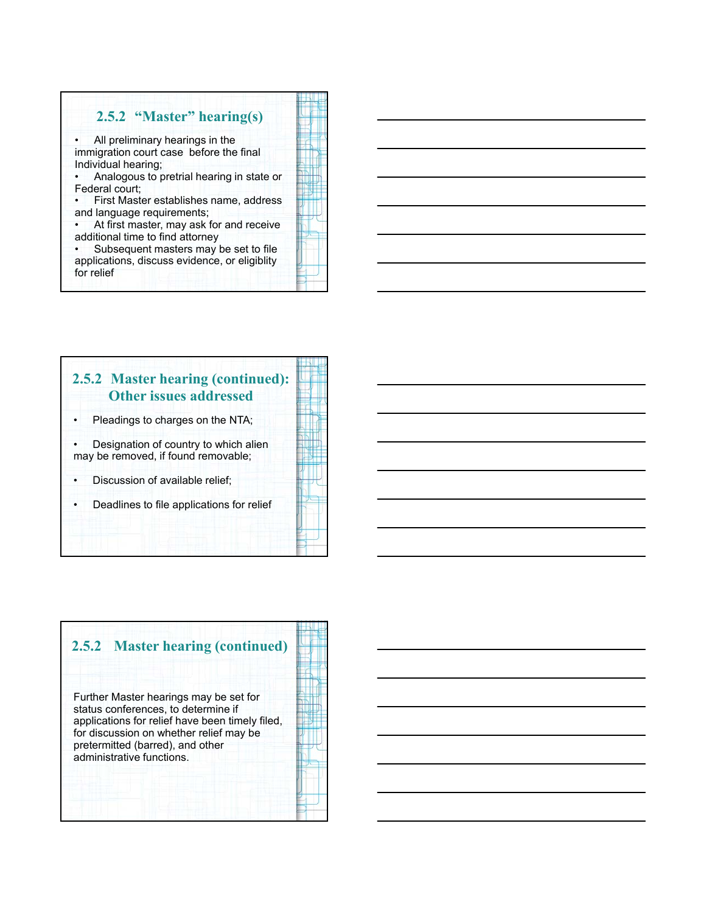## **2.5.2 "Master" hearing(s)**

All preliminary hearings in the immigration court case before the final Individual hearing;

• Analogous to pretrial hearing in state or Federal court;

• First Master establishes name, address and language requirements;

At first master, may ask for and receive additional time to find attorney

Subsequent masters may be set to file applications, discuss evidence, or eligiblity for relief



## **2.5.2 Master hearing (continued): Other issues addressed**

Pleadings to charges on the NTA;

• Designation of country to which alien may be removed, if found removable;

• Discussion of available relief;

• Deadlines to file applications for relief

# **2.5.2 Master hearing (continued)** Further Master hearings may be set for status conferences, to determine if applications for relief have been timely filed, for discussion on whether relief may be pretermitted (barred), and other administrative functions.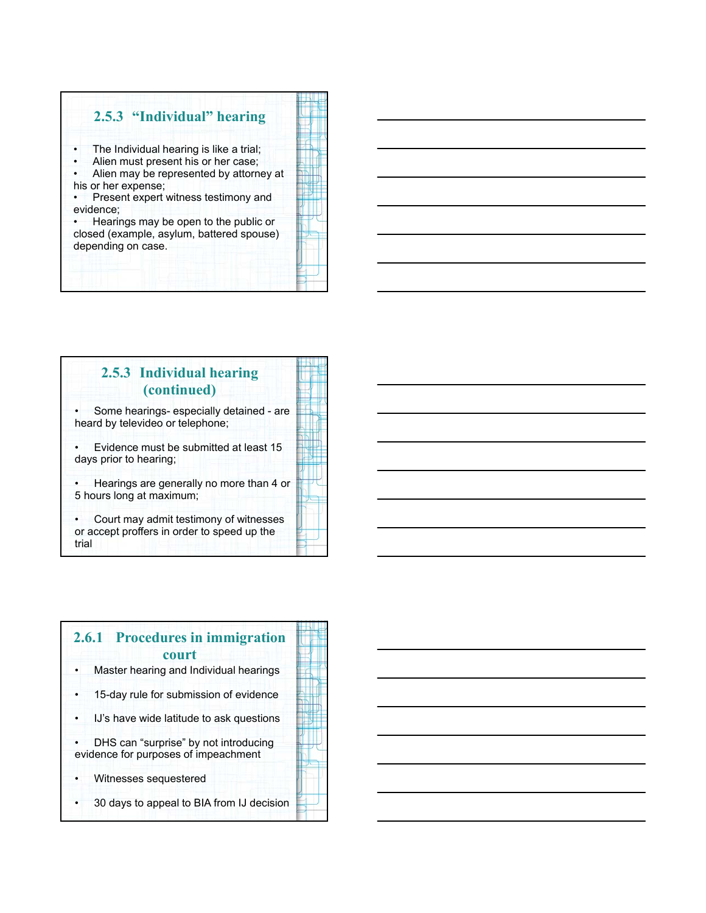# **2.5.3 "Individual" hearing**

The Individual hearing is like a trial;

Alien must present his or her case;

Alien may be represented by attorney at his or her expense;

Present expert witness testimony and evidence;

• Hearings may be open to the public or closed (example, asylum, battered spouse) depending on case.



# **2.5.3 Individual hearing (continued)**

• Some hearings- especially detained - are heard by televideo or telephone;

• Evidence must be submitted at least 15 days prior to hearing;

• Hearings are generally no more than 4 or 5 hours long at maximum;

• Court may admit testimony of witnesses or accept proffers in order to speed up the trial

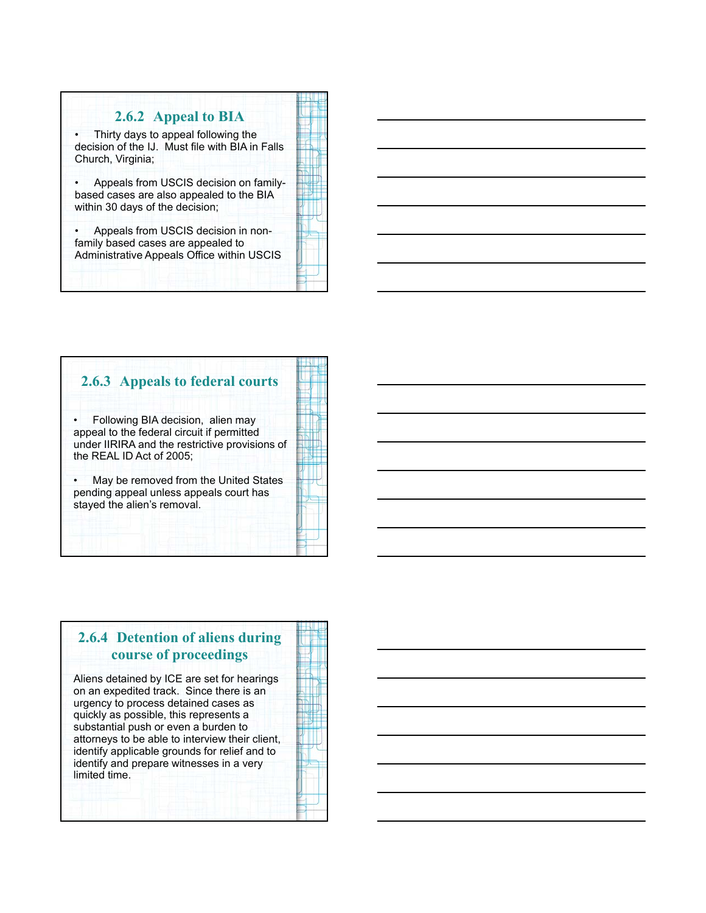## **2.6.2 Appeal to BIA**

• Thirty days to appeal following the decision of the IJ. Must file with BIA in Falls Church, Virginia;

• Appeals from USCIS decision on familybased cases are also appealed to the BIA within 30 days of the decision;

• Appeals from USCIS decision in nonfamily based cases are appealed to Administrative Appeals Office within USCIS

# **2.6.3 Appeals to federal courts** • Following BIA decision, alien may appeal to the federal circuit if permitted under IIRIRA and the restrictive provisions of the REAL ID Act of 2005; May be removed from the United States pending appeal unless appeals court has stayed the alien's removal.

## **2.6.4 Detention of aliens during course of proceedings**

Aliens detained by ICE are set for hearings on an expedited track. Since there is an urgency to process detained cases as quickly as possible, this represents a substantial push or even a burden to attorneys to be able to interview their client, identify applicable grounds for relief and to identify and prepare witnesses in a very limited time.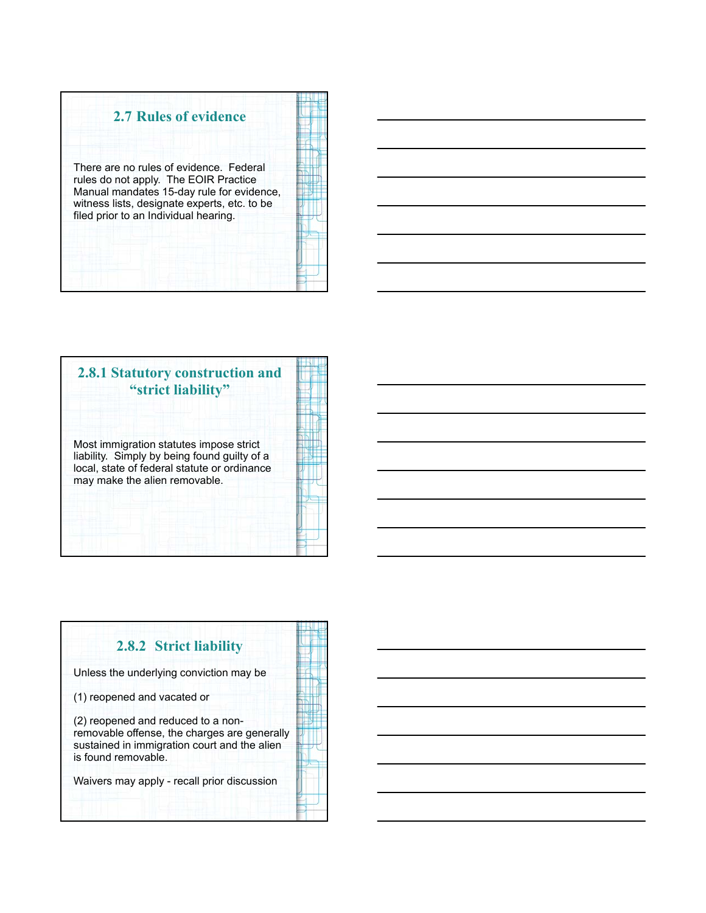



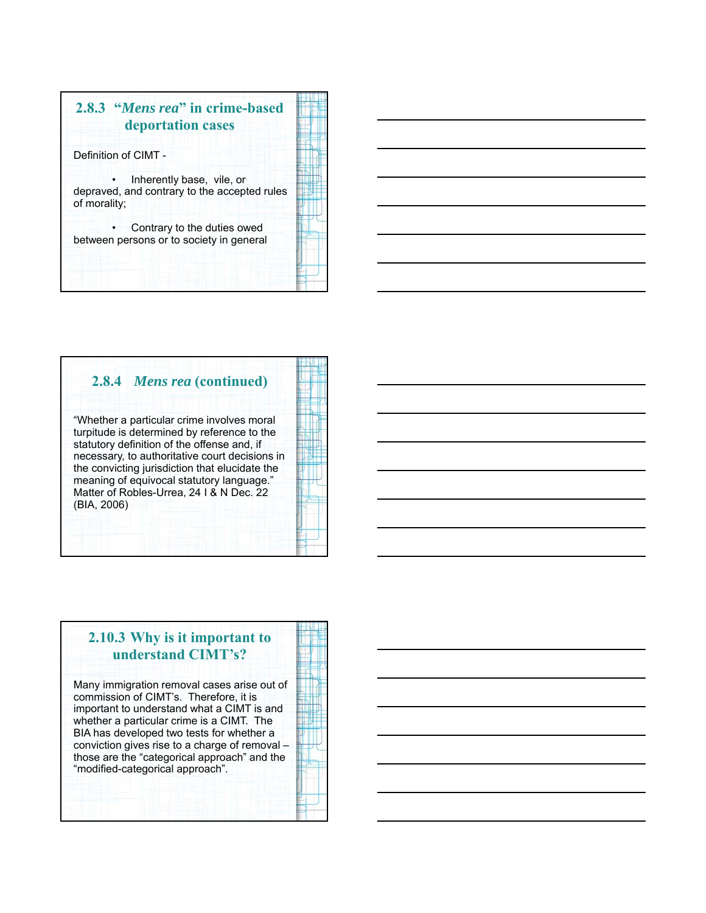

## **2.8.4** *Mens rea* **(continued)**

"Whether a particular crime involves moral turpitude is determined by reference to the statutory definition of the offense and, if necessary, to authoritative court decisions in the convicting jurisdiction that elucidate the meaning of equivocal statutory language." Matter of Robles-Urrea, 24 I & N Dec. 22 (BIA, 2006)

## **2.10.3 Why is it important to understand CIMT's?**

Many immigration removal cases arise out of commission of CIMT's. Therefore, it is important to understand what a CIMT is and whether a particular crime is a CIMT. The BIA has developed two tests for whether a conviction gives rise to a charge of removal – those are the "categorical approach" and the "modified-categorical approach".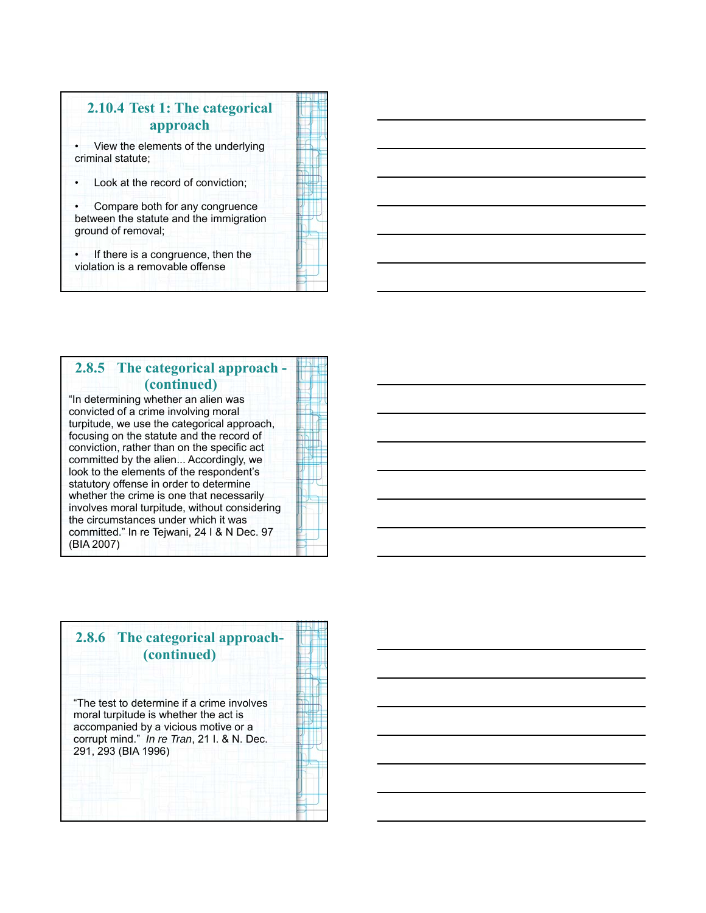# **2.10.4 Test 1: The categorical approach**

• View the elements of the underlying criminal statute;

Look at the record of conviction;

Compare both for any congruence between the statute and the immigration ground of removal;

If there is a congruence, then the violation is a removable offense

## **2.8.5 The categorical approach - (continued)**

"In determining whether an alien was convicted of a crime involving moral turpitude, we use the categorical approach, focusing on the statute and the record of conviction, rather than on the specific act committed by the alien... Accordingly, we look to the elements of the respondent's statutory offense in order to determine whether the crime is one that necessarily involves moral turpitude, without considering the circumstances under which it was committed." In re Tejwani, 24 I & N Dec. 97 (BIA 2007)

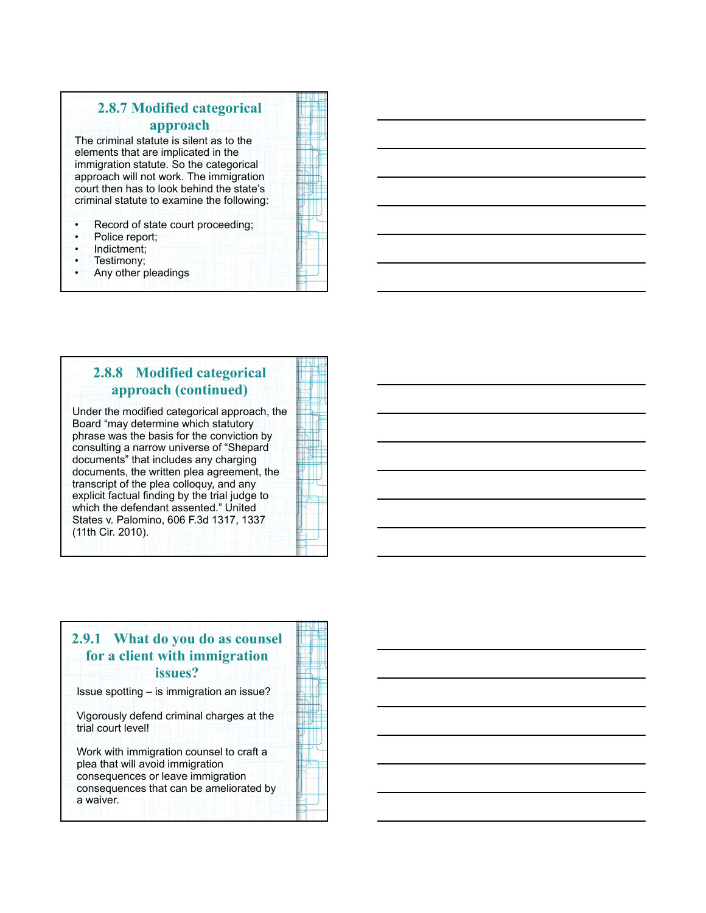# **2.8.7 Modified categorical approach**

The criminal statute is silent as to the elements that are implicated in the immigration statute. So the categorical approach will not work. The immigration court then has to look behind the state's criminal statute to examine the following:

- Record of state court proceeding;
- Police report;
- Indictment;
- Testimony;
- Any other pleadings

|   | I           |
|---|-------------|
|   |             |
|   |             |
|   | i           |
|   |             |
|   |             |
|   |             |
|   | ı           |
|   |             |
|   | ı           |
|   |             |
|   | ı           |
|   |             |
|   | I           |
|   |             |
|   | ı           |
|   | ı           |
|   | ı<br>٠      |
|   | ۱           |
|   | ı           |
|   | ı           |
| н | ı           |
|   | ı<br>į<br>۱ |
|   |             |
|   | ı<br>I      |
|   | ۱           |
|   |             |
|   |             |
|   | ۱           |
|   | ۱           |
|   |             |
|   | ì           |
|   | ۱           |
|   |             |
|   |             |

## **2.8.8 Modified categorical approach (continued)**

Under the modified categorical approach, the Board "may determine which statutory phrase was the basis for the conviction by consulting a narrow universe of "Shepard documents" that includes any charging documents, the written plea agreement, the transcript of the plea colloquy, and any explicit factual finding by the trial judge to which the defendant assented." United States v. Palomino, 606 F.3d 1317, 1337 (11th Cir. 2010).

## **2.9.1 What do you do as counsel for a client with immigration issues?**

Issue spotting – is immigration an issue?

Vigorously defend criminal charges at the trial court level!

Work with immigration counsel to craft a plea that will avoid immigration consequences or leave immigration consequences that can be ameliorated by a waiver.